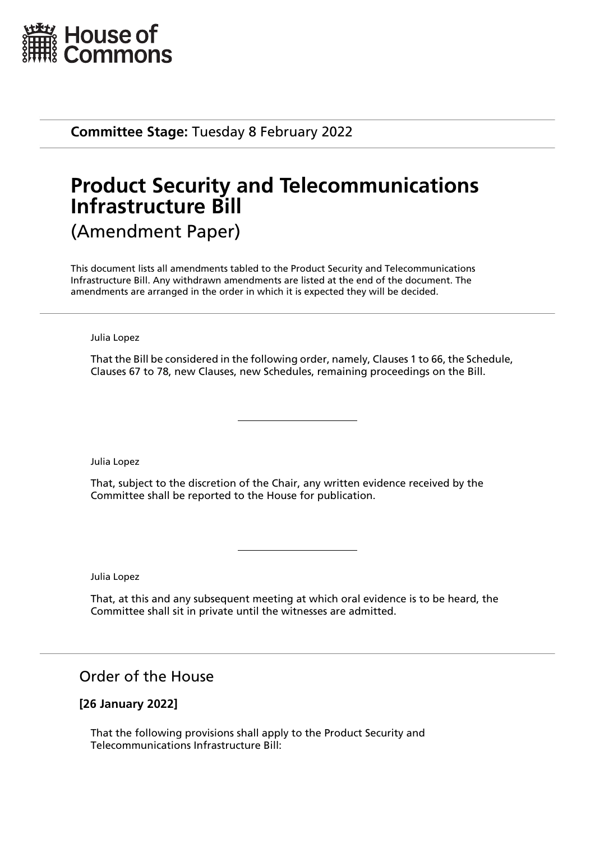

**Committee Stage:** Tuesday 8 February 2022

# **Product Security and Telecommunications Infrastructure Bill** (Amendment Paper)

This document lists all amendments tabled to the Product Security and Telecommunications Infrastructure Bill. Any withdrawn amendments are listed at the end of the document. The amendments are arranged in the order in which it is expected they will be decided.

Julia Lopez

That the Bill be considered in the following order, namely, Clauses 1 to 66, the Schedule, Clauses 67 to 78, new Clauses, new Schedules, remaining proceedings on the Bill.

Julia Lopez

That, subject to the discretion of the Chair, any written evidence received by the Committee shall be reported to the House for publication.

Julia Lopez

That, at this and any subsequent meeting at which oral evidence is to be heard, the Committee shall sit in private until the witnesses are admitted.

Order of the House

## **[26 January 2022]**

That the following provisions shall apply to the Product Security and Telecommunications Infrastructure Bill: